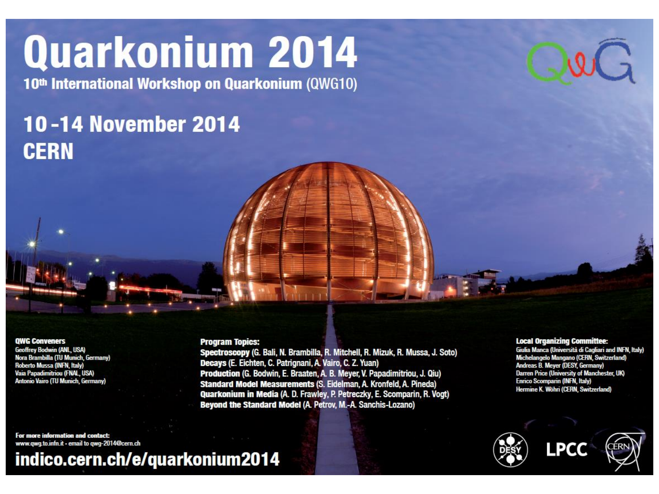# Quarkonium 2014

10<sup>th</sup> International Workshop on Quarkonium (QWG10)

### **10-14 November 2014 CERN**

#### **QWG Conveners**

**Geoffrey Bodwin (ANL, USA)** Nora Brambilla (TU Munich, Germany) Roberto Mussa (INFN, Italy) Vaia Papadimitriou (FNAL, USA) Antonio Vairo (TU Munich, Germany)

**Program Topics:** 

Spectroscopy (G. Bali, N. Brambilla, R. Mitchell, R. Mizuk, R. Mussa, J. Soto) Decays (E. Eichten, C. Patrignani, A. Vairo, C. Z. Yuan) Production (G. Bodwin, E. Braaten, A. B. Meyer, V. Papadimitriou, J. Qiu) Standard Model Measurements (S. Eidelman, A. Kronfeld, A. Pineda) Quarkonium in Media (A. D. Frawley, P. Petreczky, E. Scomparin, R. Vogt) Beyond the Standard Model (A. Petrov, M.-A. Sanchis-Lozano)

#### **Local Organizing Committee:**

Giulia Manca (Università di Cagliari and INFN, Italy) Michelangelo Mangano (CERN, Switzerland) Andreas B. Meyer (DESY, Germany) Darren Price (University of Manchester, UK) Enrico Scomparin (INFN, Italy) Hermine K. Wöhri (CERN, Switzerland)





For more information and contact: www.qwg.to.infn.it - email to qwg-2014@cern.ch

indico.cern.ch/e/quarkonium2014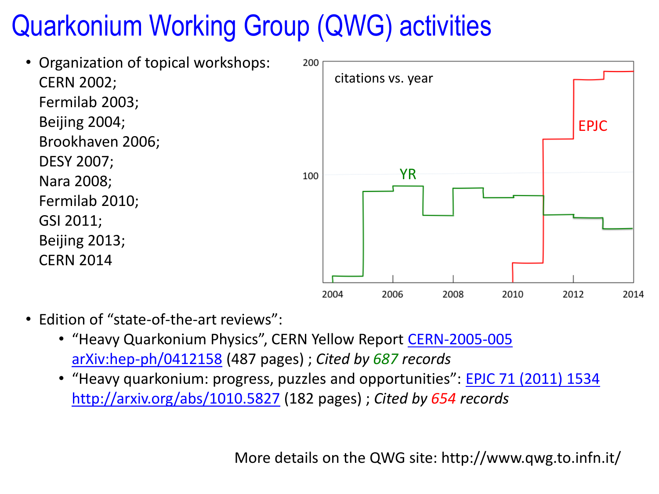# Quarkonium Working Group (QWG) activities



- Edition of "state-of-the-art reviews":
	- "Heavy Quarkonium Physics", CERN Yellow Report [CERN-2005-005](http://www.qwg.to.infn.it/YR/index.html) [arXiv:hep-ph/0412158](http://arxiv.org/abs/hep-ph/0412158) (487 pages) ; *Cited by 687 records*
	- "Heavy quarkonium: progress, puzzles and opportunities": **[EPJC 71 \(2011\) 1534](http://link.springer.com/article/10.1140/epjc/s10052-010-1534-9)** <http://arxiv.org/abs/1010.5827> (182 pages) ; *Cited by 654 records*

More details on the QWG site: http://www.qwg.to.infn.it/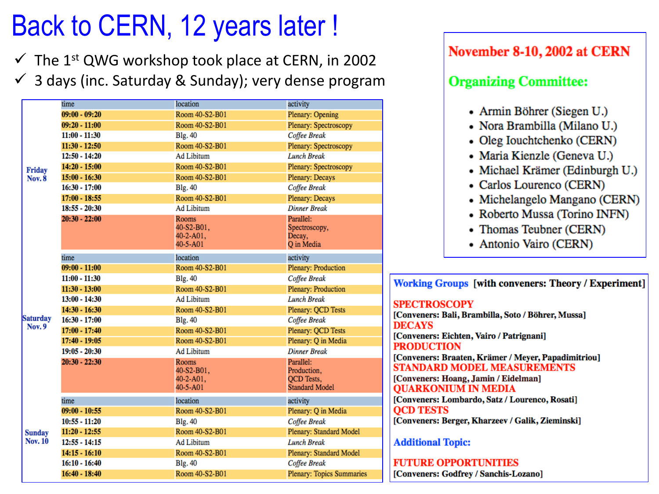### Back to CERN, 12 years later!

 $\checkmark$  The 1st QWG workshop took place at CERN, in 2002  $\checkmark$  3 days (inc. Saturday & Sunday); very dense program

| Friday<br><b>Nov. 8</b>          | time            | location                                            | activity                                                               |
|----------------------------------|-----------------|-----------------------------------------------------|------------------------------------------------------------------------|
|                                  | $09:00 - 09:20$ | Room 40-S2-B01                                      | Plenary: Opening                                                       |
|                                  | $09:20 - 11:00$ | Room 40-S2-B01                                      | Plenary: Spectroscopy                                                  |
|                                  | $11:00 - 11:30$ | <b>Blg. 40</b>                                      | Coffee Break                                                           |
|                                  | $11:30 - 12:50$ | Room 40-S2-B01                                      | Plenary: Spectroscopy                                                  |
|                                  | $12:50 - 14:20$ | <b>Ad Libitum</b>                                   | <b>Lunch Break</b>                                                     |
|                                  | $14:20 - 15:00$ | Room 40-S2-B01                                      | Plenary: Spectroscopy                                                  |
|                                  | $15:00 - 16:30$ | Room 40-S2-B01                                      | Plenary: Decays                                                        |
|                                  | $16:30 - 17:00$ | <b>Blg. 40</b>                                      | Coffee Break                                                           |
|                                  | $17:00 - 18:55$ | Room 40-S2-B01                                      | Plenary: Decays                                                        |
|                                  | $18:55 - 20:30$ | <b>Ad Libitum</b>                                   | <b>Dinner Break</b>                                                    |
|                                  | $20:30 - 22:00$ | Rooms<br>40-S2-B01,<br>$40 - 2 - A01$ ,<br>40-5-A01 | Parallel:<br>Spectroscopy,<br>Decay,<br>O in Media                     |
| <b>Saturday</b><br><b>Nov. 9</b> | time            | location                                            | activity                                                               |
|                                  | $09:00 - 11:00$ | Room 40-S2-B01                                      | Plenary: Production                                                    |
|                                  | $11:00 - 11:30$ | <b>Blg. 40</b>                                      | Coffee Break                                                           |
|                                  | $11:30 - 13:00$ | Room 40-S2-B01                                      | Plenary: Production                                                    |
|                                  | $13:00 - 14:30$ | <b>Ad Libitum</b>                                   | <b>Lunch Break</b>                                                     |
|                                  | $14:30 - 16:30$ | Room 40-S2-B01                                      | Plenary: OCD Tests                                                     |
|                                  | $16:30 - 17:00$ | <b>Blg. 40</b>                                      | Coffee Break                                                           |
|                                  | $17:00 - 17:40$ | Room 40-S2-B01                                      | Plenary: QCD Tests                                                     |
|                                  | $17:40 - 19:05$ | Room 40-S2-B01                                      | Plenary: Q in Media                                                    |
|                                  | $19:05 - 20:30$ | <b>Ad Libitum</b>                                   | <b>Dinner Break</b>                                                    |
|                                  | $20:30 - 22:30$ | Rooms<br>40-S2-B01,<br>$40 - 2 - A01$ ,<br>40-5-A01 | Parallel:<br>Production,<br><b>OCD</b> Tests,<br><b>Standard Model</b> |
| <b>Sunday</b><br><b>Nov. 10</b>  | time            | location                                            | activity                                                               |
|                                  | $09:00 - 10:55$ | Room 40-S2-B01                                      | Plenary: Q in Media                                                    |
|                                  | $10:55 - 11:20$ | <b>Blg. 40</b>                                      | Coffee Break                                                           |
|                                  | $11:20 - 12:55$ | Room 40-S2-B01                                      | Plenary: Standard Model                                                |
|                                  | $12:55 - 14:15$ | <b>Ad Libitum</b>                                   | <b>Lunch Break</b>                                                     |
|                                  | $14:15 - 16:10$ | Room 40-S2-B01                                      | Plenary: Standard Model                                                |
|                                  | $16:10 - 16:40$ | <b>Blg. 40</b>                                      | Coffee Break                                                           |
|                                  | $16:40 - 18:40$ | Room 40-S2-B01                                      | <b>Plenary: Topics Summaries</b>                                       |
|                                  |                 |                                                     |                                                                        |

### November 8-10, 2002 at CERN

#### **Organizing Committee:**

- Armin Böhrer (Siegen U.)
- Nora Brambilla (Milano U.)
- Oleg Iouchtchenko (CERN)
- Maria Kienzle (Geneva U.)
- Michael Krämer (Edinburgh U.)
- Carlos Lourenco (CERN)
- Michelangelo Mangano (CERN)
- Roberto Mussa (Torino INFN)
- Thomas Teubner (CERN)
- Antonio Vairo (CERN)

**Working Groups [with conveners: Theory / Experiment]** 

**SPECTROSCOPY** [Conveners: Bali, Brambilla, Soto / Böhrer, Mussa] **DECAYS** [Conveners: Eichten, Vairo / Patrignani] **PRODUCTION** [Conveners: Braaten, Krämer / Meyer, Papadimitriou] STANDARD MODEL MEASUREMENTS [Conveners: Hoang, Jamin / Eidelman] **OUARKONIUM IN MEDIA** [Conveners: Lombardo, Satz / Lourenco, Rosati] **OCD TESTS** [Conveners: Berger, Kharzeev / Galik, Zieminski]

#### **Additional Topic:**

**FUTURE OPPORTUNITIES** [Conveners: Godfrey / Sanchis-Lozano]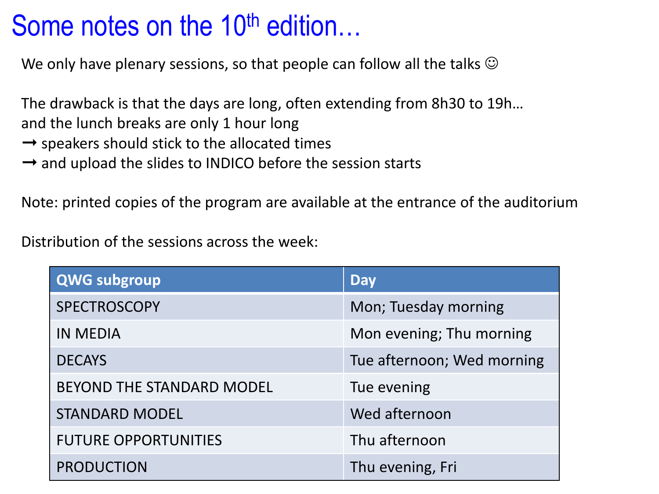### Some notes on the 10<sup>th</sup> edition…

We only have plenary sessions, so that people can follow all the talks  $\odot$ 

The drawback is that the days are long, often extending from 8h30 to 19h…

and the lunch breaks are only 1 hour long

- $\rightarrow$  speakers should stick to the allocated times
- $\rightarrow$  and upload the slides to INDICO before the session starts

Note: printed copies of the program are available at the entrance of the auditorium

Distribution of the sessions across the week:

| QWG subgroup                | <b>Day</b>                 |
|-----------------------------|----------------------------|
| SPECTROSCOPY                | Mon; Tuesday morning       |
| <b>IN MEDIA</b>             | Mon evening; Thu morning   |
| <b>DECAYS</b>               | Tue afternoon; Wed morning |
| BEYOND THE STANDARD MODEL   | Tue evening                |
| <b>STANDARD MODEL</b>       | Wed afternoon              |
| <b>FUTURE OPPORTUNITIES</b> | Thu afternoon              |
| <b>PRODUCTION</b>           | Thu evening, Fri           |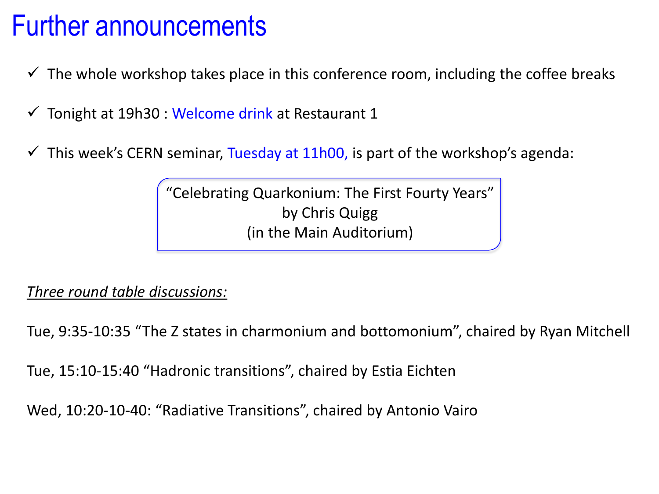### Further announcements

- $\checkmark$  The whole workshop takes place in this conference room, including the coffee breaks
- $\checkmark$  Tonight at 19h30 : Welcome drink at Restaurant 1
- $\checkmark$  This week's CERN seminar, Tuesday at 11h00, is part of the workshop's agenda:

"Celebrating Quarkonium: The First Fourty Years" by Chris Quigg (in the Main Auditorium)

### *Three round table discussions:*

Tue, 9:35-10:35 "The Z states in charmonium and bottomonium", chaired by Ryan Mitchell

Tue, 15:10-15:40 "Hadronic transitions", chaired by Estia Eichten

Wed, 10:20-10-40: "Radiative Transitions", chaired by Antonio Vairo